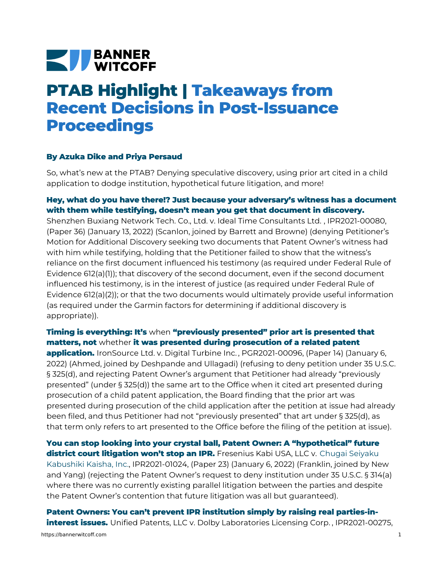# **NEW BANNER**

## **PTAB Highlight | Takeaways from Recent Decisions in Post-Issuance Proceedings**

#### **By Azuka Dike and Priya Persaud**

So, what's new at the PTAB? Denying speculative discovery, using prior art cited in a child application to dodge institution, hypothetical future litigation, and more!

### **Hey, what do you have there!? Just because your adversary's witness has a document with them while testifying, doesn't mean you get that document in discovery.**

Shenzhen Buxiang Network Tech. Co., Ltd. v. Ideal Time [Consultants](https://bannerwitcoff.com/wp-content/uploads/2022/01/IPR2021-00080.pdf) Ltd. , IPR2021-00080, (Paper 36) (January 13, 2022) (Scanlon, joined by Barrett and Browne) (denying Petitioner's Motion for Additional Discovery seeking two documents that Patent Owner's witness had with him while testifying, holding that the Petitioner failed to show that the witness's reliance on the first document influenced his testimony (as required under Federal Rule of Evidence 612(a)(1)); that discovery of the second document, even if the second document influenced his testimony, is in the interest of justice (as required under Federal Rule of Evidence 612(a)(2)); or that the two documents would ultimately provide useful information (as required under the Garmin factors for determining if additional discovery is appropriate)).

#### **Timing is everything: It's** when **"previously presented" prior art is presented that matters, not** whether **it was presented during prosecution of a related patent**

**application.** [IronSource](https://bannerwitcoff.com/wp-content/uploads/2022/01/PGR2021-00096.pdf) Ltd. v. Digital Turbine Inc. , PGR2021-00096, (Paper 14) (January 6, 2022) (Ahmed, joined by Deshpande and Ullagadi) (refusing to deny petition under 35 U.S.C. § 325(d), and rejecting Patent Owner's argument that Petitioner had already "previously presented" (under § 325(d)) the same art to the Office when it cited art presented during prosecution of a child patent application, the Board finding that the prior art was presented during prosecution of the child application after the petition at issue had already been filed, and thus Petitioner had not "previously presented" that art under § 325(d), as that term only refers to art presented to the Office before the filing of the petition at issue).

**You can stop looking into your crystal ball, Patent Owner: A "hypothetical" future district court litigation won't stop an IPR.** Fresenius Kabi USA, LLC v. Chugai Seiyaku Kabushiki Kaisha, Inc., [IPR2021-01024,](https://bannerwitcoff.com/wp-content/uploads/2022/01/IPR2021-01024.pdf) (Paper 23) (January 6, 2022) (Franklin, joined by New and Yang) (rejecting the Patent Owner's request to deny institution under 35 U.S.C. § 314(a) where there was no currently existing parallel litigation between the parties and despite the Patent Owner's contention that future litigation was all but guaranteed).

**Patent Owners: You can't prevent IPR institution simply by raising real parties-ininterest issues.** Unified Patents, LLC v. Dolby [Laboratories](https://bannerwitcoff.com/wp-content/uploads/2022/01/IPR2021-00275.pdf) Licensing Corp. , IPR2021-00275,